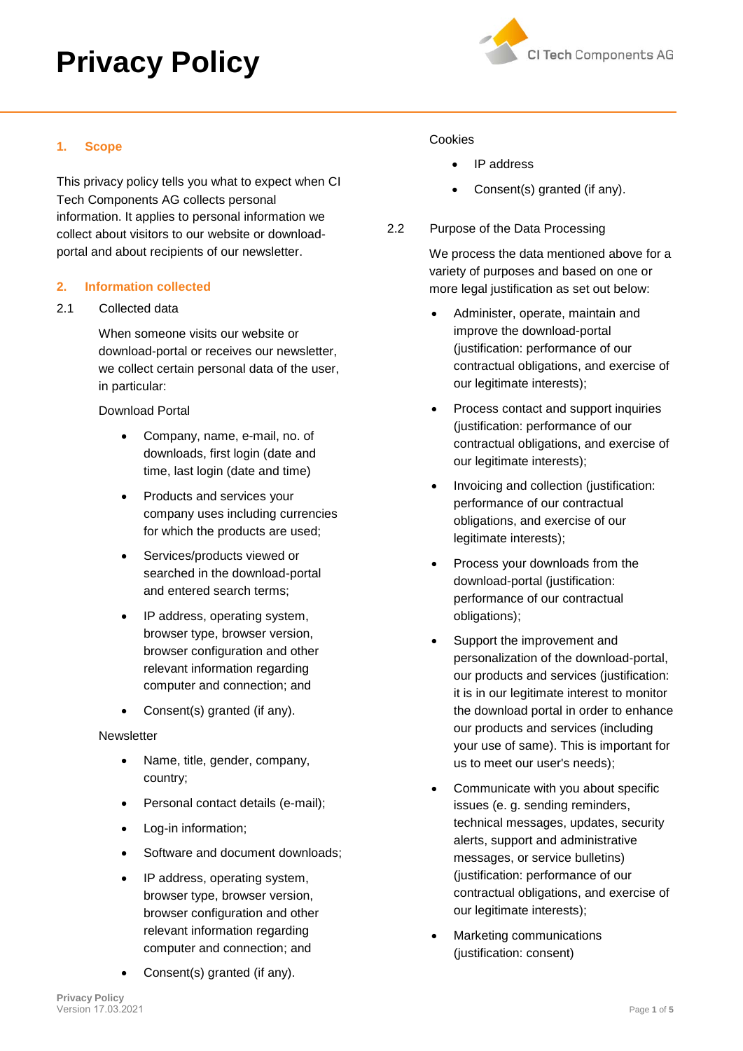# **Privacy Policy**



## **1. Scope**

This privacy policy tells you what to expect when CI Tech Components AG collects personal information. It applies to personal information we collect about visitors to our website or downloadportal and about recipients of our newsletter.

#### **2. Information collected**

#### 2.1 Collected data

When someone visits our website or download-portal or receives our newsletter, we collect certain personal data of the user, in particular:

#### Download Portal

- Company, name, e-mail, no. of downloads, first login (date and time, last login (date and time)
- Products and services your company uses including currencies for which the products are used;
- Services/products viewed or searched in the download-portal and entered search terms;
- IP address, operating system, browser type, browser version, browser configuration and other relevant information regarding computer and connection; and
- Consent(s) granted (if any).

#### **Newsletter**

- Name, title, gender, company, country;
- Personal contact details (e-mail);
- Log-in information;
- Software and document downloads;
- IP address, operating system, browser type, browser version, browser configuration and other relevant information regarding computer and connection; and
- Consent(s) granted (if any).

#### Cookies

- IP address
- Consent(s) granted (if any).
- <span id="page-0-0"></span>2.2 Purpose of the Data Processing

We process the data mentioned above for a variety of purposes and based on one or more legal justification as set out below:

- Administer, operate, maintain and improve the download-portal (justification: performance of our contractual obligations, and exercise of our legitimate interests);
- Process contact and support inquiries (justification: performance of our contractual obligations, and exercise of our legitimate interests);
- Invoicing and collection (justification: performance of our contractual obligations, and exercise of our legitimate interests);
- Process your downloads from the download-portal (justification: performance of our contractual obligations);
- Support the improvement and personalization of the download-portal, our products and services (justification: it is in our legitimate interest to monitor the download portal in order to enhance our products and services (including your use of same). This is important for us to meet our user's needs);
- Communicate with you about specific issues (e. g. sending reminders, technical messages, updates, security alerts, support and administrative messages, or service bulletins) (justification: performance of our contractual obligations, and exercise of our legitimate interests);
- Marketing communications (justification: consent)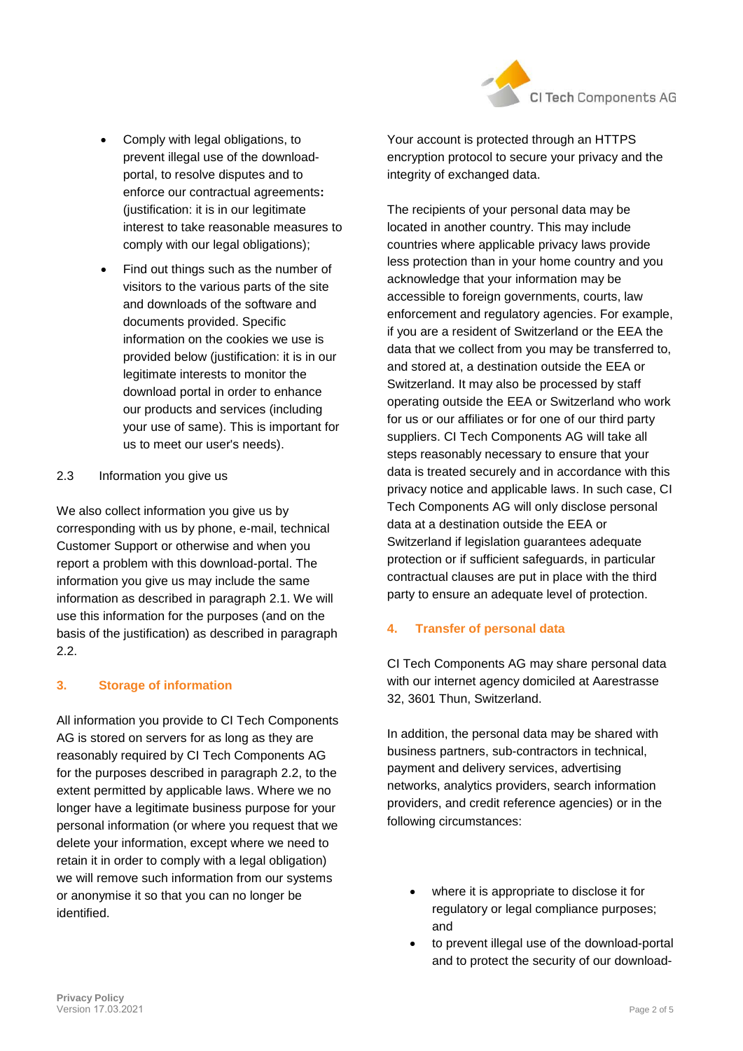

- Comply with legal obligations, to prevent illegal use of the downloadportal, to resolve disputes and to enforce our contractual agreements**:** (justification: it is in our legitimate interest to take reasonable measures to comply with our legal obligations);
- Find out things such as the number of visitors to the various parts of the site and downloads of the software and documents provided. Specific information on the cookies we use is provided below (justification: it is in our legitimate interests to monitor the download portal in order to enhance our products and services (including your use of same). This is important for us to meet our user's needs).

### 2.3 Information you give us

We also collect information you give us by corresponding with us by phone, e-mail, technical Customer Support or otherwise and when you report a problem with this download-portal. The information you give us may include the same information as described in paragraph 2.1. We will use this information for the purposes (and on the basis of the justification) as described in paragraph [2.2.](#page-0-0) 

#### **3. Storage of information**

All information you provide to CI Tech Components AG is stored on servers for as long as they are reasonably required by CI Tech Components AG for the purposes described in paragraph 2.2, to the extent permitted by applicable laws. Where we no longer have a legitimate business purpose for your personal information (or where you request that we delete your information, except where we need to retain it in order to comply with a legal obligation) we will remove such information from our systems or anonymise it so that you can no longer be identified.

Your account is protected through an HTTPS encryption protocol to secure your privacy and the integrity of exchanged data.

The recipients of your personal data may be located in another country. This may include countries where applicable privacy laws provide less protection than in your home country and you acknowledge that your information may be accessible to foreign governments, courts, law enforcement and regulatory agencies. For example, if you are a resident of Switzerland or the EEA the data that we collect from you may be transferred to, and stored at, a destination outside the EEA or Switzerland. It may also be processed by staff operating outside the EEA or Switzerland who work for us or our affiliates or for one of our third party suppliers. CI Tech Components AG will take all steps reasonably necessary to ensure that your data is treated securely and in accordance with this privacy notice and applicable laws. In such case, CI Tech Components AG will only disclose personal data at a destination outside the EEA or Switzerland if legislation guarantees adequate protection or if sufficient safeguards, in particular contractual clauses are put in place with the third party to ensure an adequate level of protection.

#### **4. Transfer of personal data**

CI Tech Components AG may share personal data with our internet agency domiciled at Aarestrasse 32, 3601 Thun, Switzerland.

In addition, the personal data may be shared with business partners, sub-contractors in technical, payment and delivery services, advertising networks, analytics providers, search information providers, and credit reference agencies) or in the following circumstances:

- where it is appropriate to disclose it for regulatory or legal compliance purposes; and
- to prevent illegal use of the download-portal and to protect the security of our download-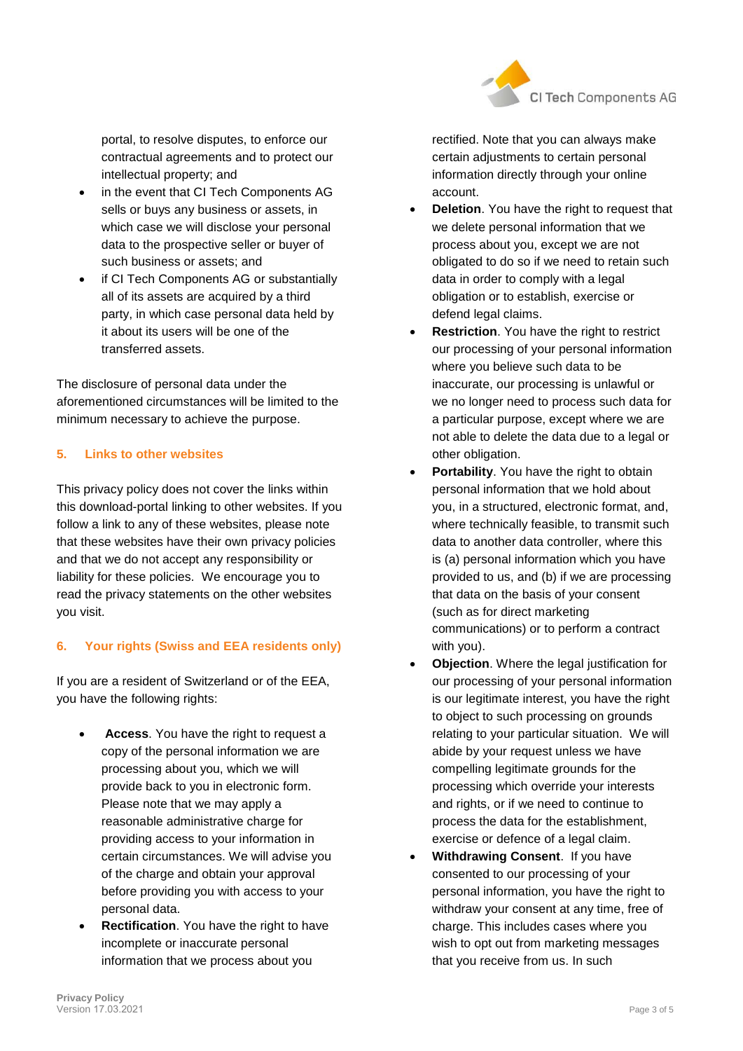

portal, to resolve disputes, to enforce our contractual agreements and to protect our intellectual property; and

- in the event that CI Tech Components AG sells or buys any business or assets, in which case we will disclose your personal data to the prospective seller or buyer of such business or assets; and
- if CI Tech Components AG or substantially all of its assets are acquired by a third party, in which case personal data held by it about its users will be one of the transferred assets.

The disclosure of personal data under the aforementioned circumstances will be limited to the minimum necessary to achieve the purpose.

#### **5. Links to other websites**

This privacy policy does not cover the links within this download-portal linking to other websites. If you follow a link to any of these websites, please note that these websites have their own privacy policies and that we do not accept any responsibility or liability for these policies. We encourage you to read the privacy statements on the other websites you visit.

# **6. Your rights (Swiss and EEA residents only)**

If you are a resident of Switzerland or of the EEA, you have the following rights:

- **Access**. You have the right to request a copy of the personal information we are processing about you, which we will provide back to you in electronic form. Please note that we may apply a reasonable administrative charge for providing access to your information in certain circumstances. We will advise you of the charge and obtain your approval before providing you with access to your personal data.
- **Rectification**. You have the right to have incomplete or inaccurate personal information that we process about you

rectified. Note that you can always make certain adjustments to certain personal information directly through your online account.

- **Deletion**. You have the right to request that we delete personal information that we process about you, except we are not obligated to do so if we need to retain such data in order to comply with a legal obligation or to establish, exercise or defend legal claims.
- **Restriction**. You have the right to restrict our processing of your personal information where you believe such data to be inaccurate, our processing is unlawful or we no longer need to process such data for a particular purpose, except where we are not able to delete the data due to a legal or other obligation.
- **Portability**. You have the right to obtain personal information that we hold about you, in a structured, electronic format, and, where technically feasible, to transmit such data to another data controller, where this is (a) personal information which you have provided to us, and (b) if we are processing that data on the basis of your consent (such as for direct marketing communications) or to perform a contract with you).
- **Objection**. Where the legal justification for our processing of your personal information is our legitimate interest, you have the right to object to such processing on grounds relating to your particular situation. We will abide by your request unless we have compelling legitimate grounds for the processing which override your interests and rights, or if we need to continue to process the data for the establishment, exercise or defence of a legal claim.
- **Withdrawing Consent**. If you have consented to our processing of your personal information, you have the right to withdraw your consent at any time, free of charge. This includes cases where you wish to opt out from marketing messages that you receive from us. In such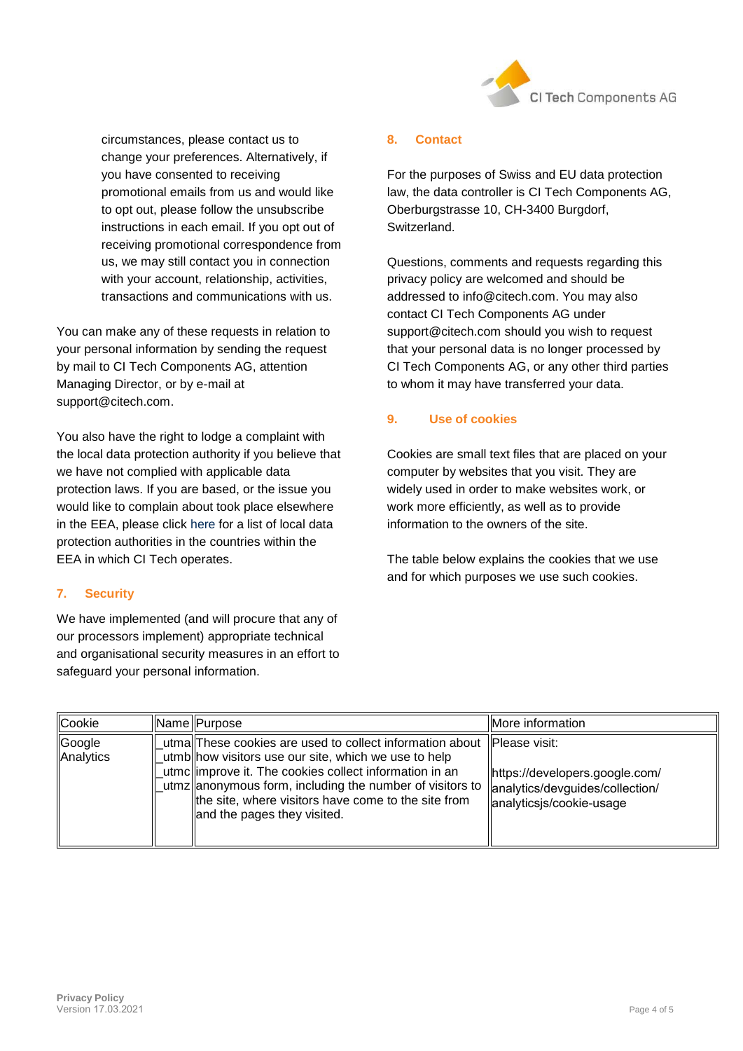

circumstances, please contact us to change your preferences. Alternatively, if you have consented to receiving promotional emails from us and would like to opt out, please follow the unsubscribe instructions in each email. If you opt out of receiving promotional correspondence from us, we may still contact you in connection with your account, relationship, activities, transactions and communications with us.

You can make any of these requests in relation to your personal information by sending the request by mail to CI Tech Components AG, attention Managing Director, or by e-mail at support@citech.com.

You also have the right to lodge a complaint with the local data protection authority if you believe that we have not complied with applicable data protection laws. If you are based, or the issue you would like to complain about took place elsewhere in the EEA, please click [here](http://ec.europa.eu/newsroom/article29/item-detail.cfm?item_id=612080) for a list of local data protection authorities in the countries within the EEA in which CI Tech operates.

# **7. Security**

We have implemented (and will procure that any of our processors implement) appropriate technical and organisational security measures in an effort to safeguard your personal information.

# **8. Contact**

For the purposes of Swiss and EU data protection law, the data controller is CI Tech Components AG, Oberburgstrasse 10, CH-3400 Burgdorf, Switzerland.

Questions, comments and requests regarding this privacy policy are welcomed and should be addressed to info@citech.com. You may also contact CI Tech Components AG under support@citech.com should you wish to request that your personal data is no longer processed by CI Tech Components AG, or any other third parties to whom it may have transferred your data.

## **9. Use of cookies**

Cookies are small text files that are placed on your computer by websites that you visit. They are widely used in order to make websites work, or work more efficiently, as well as to provide information to the owners of the site.

The table below explains the cookies that we use and for which purposes we use such cookies.

| Cookie              | Name Purpose                                                                                                                                                                                                                                                                                                                      | More information                                                                                                   |
|---------------------|-----------------------------------------------------------------------------------------------------------------------------------------------------------------------------------------------------------------------------------------------------------------------------------------------------------------------------------|--------------------------------------------------------------------------------------------------------------------|
| Google<br>Analytics | utma  These cookies are used to collect information about<br>_utmb  how visitors use our site, which we use to help<br>utmc  improve it. The cookies collect information in an<br>utmz  anonymous form, including the number of visitors to<br>the site, where visitors have come to the site from<br>and the pages they visited. | Please visit:<br>  https://developers.google.com/<br>  analytics/devguides/collection/<br>analyticsis/cookie-usage |